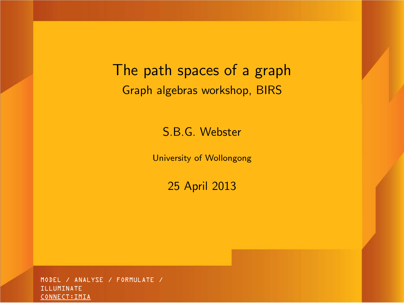The path spaces of a graph Graph algebras workshop, BIRS

S.B.G. Webster

University of Wollongong

25 April 2013

<span id="page-0-0"></span>MODEL / ANALYSE / FORMULATE / ILLUMINATE CONNECT:IMIA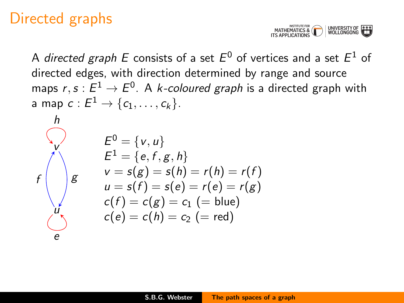### Directed graphs



A *directed graph E* consists of a set  $E^0$  of vertices and a set  $E^1$  of directed edges, with direction determined by range and source maps  $r,s:E^1\to E^0.$  A *k-coloured graph* is a directed graph with a map  $c:E^1\rightarrow \{c_1,\ldots,c_k\}.$ 

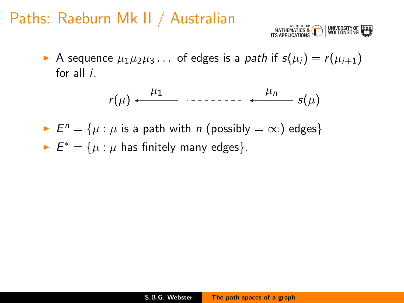### Paths: Raeburn Mk II / Australian



A sequence  $\mu_1 \mu_2 \mu_3 \ldots$  of edges is a path if  $s(\mu_i) = r(\mu_{i+1})$ for all  $i$ .

$$
r(\mu) \leftarrow \qquad \qquad \mu_1 \qquad \qquad \mu_n \qquad s(\mu)
$$

►  $E^n = \{ \mu : \mu$  is a path with *n* (possibly  $= \infty$ ) edges} ►  $E^* = \{\mu : \mu \text{ has finitely many edges}\}.$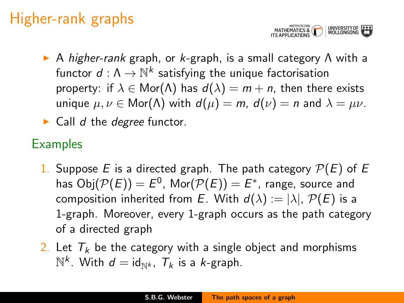## Higher-rank graphs



- $\triangleright$  A higher-rank graph, or k-graph, is a small category  $\Lambda$  with a functor  $d:\Lambda\to{\mathbb N}^k$  satisfying the unique factorisation property: if  $\lambda \in \text{Mor}(\Lambda)$  has  $d(\lambda) = m + n$ , then there exists unique  $\mu, \nu \in \text{Mor}(\Lambda)$  with  $d(\mu) = m$ ,  $d(\nu) = n$  and  $\lambda = \mu \nu$ .
- $\triangleright$  Call d the degree functor.

#### **Examples**

- 1. Suppose E is a directed graph. The path category  $\mathcal{P}(E)$  of E has  $\mathsf{Obj}(\mathcal{P}(E)) = E^0$ ,  $\mathsf{Mor}(\mathcal{P}(E)) = E^*$ , range, source and composition inherited from E. With  $d(\lambda) := |\lambda|$ ,  $P(E)$  is a 1-graph. Moreover, every 1-graph occurs as the path category of a directed graph
- 2. Let  $T_k$  be the category with a single object and morphisms  $\mathbb{N}^k$ . With  $d = \mathrm{id}_{\mathbb{N}^k}$ ,  $\mathcal{T}_k$  is a *k*-graph.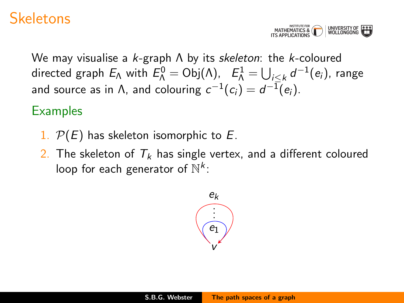#### **Skeletons**



We may visualise a  $k$ -graph  $\Lambda$  by its skeleton: the k-coloured directed graph  $E_\Lambda$  with  $E_\Lambda^0 = \mathsf{Obj}(\Lambda)$ ,  $\quad E_\Lambda^1 = \bigcup_{i\leq k} \mathsf{d}^{-1}(e_i)$ , range and source as in Λ, and colouring  $c^{-1}(c_i)=d^{-1}(e_i).$ 

#### **Examples**

- 1.  $P(E)$  has skeleton isomorphic to E.
- 2. The skeleton of  $T_k$  has single vertex, and a different coloured loop for each generator of  $\mathbb{N}^k$ :

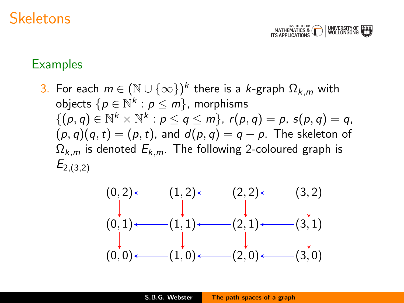#### **Skeletons**



#### **Examples**

3. For each  $m\in(\mathbb{N}\cup\{\infty\})^k$  there is a  $k$ -graph  $\Omega_{k,m}$  with objects  $\{p\in\mathbb{N}^k: p\leq m\}$ , morphisms  $\{(\rho,q)\in\mathbb{N}^k\times\mathbb{N}^k: \rho\leq q\leq m\}, r(\rho,q)=p, s(\rho,q)=q,$  $(p, q)(q, t) = (p, t)$ , and  $d(p, q) = q - p$ . The skeleton of  $\Omega_{k,m}$  is denoted  $E_{k,m}$ . The following 2-coloured graph is  $E_{2,(3,2)}$ 

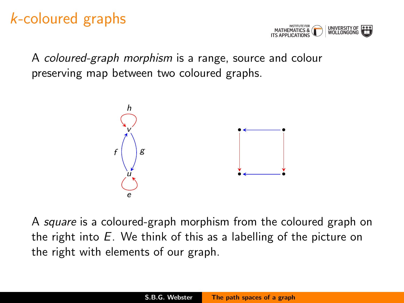### k-coloured graphs



A coloured-graph morphism is a range, source and colour preserving map between two coloured graphs.



A square is a coloured-graph morphism from the coloured graph on the right into  $E$ . We think of this as a labelling of the picture on the right with elements of our graph.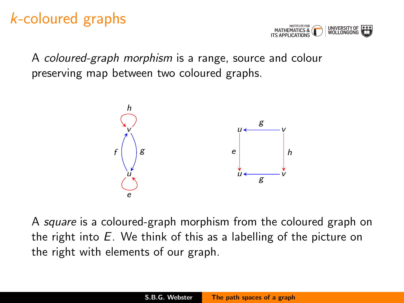### k-coloured graphs



A coloured-graph morphism is a range, source and colour preserving map between two coloured graphs.



A square is a coloured-graph morphism from the coloured graph on the right into  $E$ . We think of this as a labelling of the picture on the right with elements of our graph.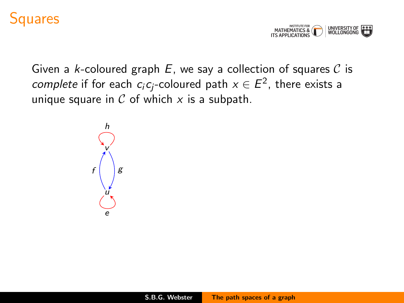#### Squares



Given a k-coloured graph  $E$ , we say a collection of squares  $C$  is *complete* if for each  $c_i c_j$ -coloured path  $x \in E^2$ , there exists a unique square in  $C$  of which  $x$  is a subpath.

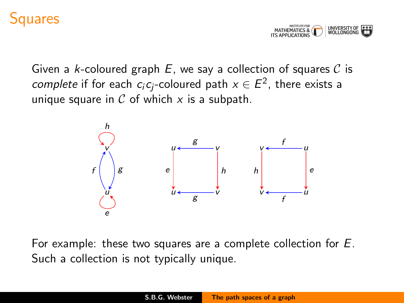#### **auares**



Given a k-coloured graph  $E$ , we say a collection of squares  $C$  is *complete* if for each  $c_i c_j$ -coloured path  $x \in E^2$ , there exists a unique square in  $\mathcal C$  of which  $x$  is a subpath.



For example: these two squares are a complete collection for E. Such a collection is not typically unique.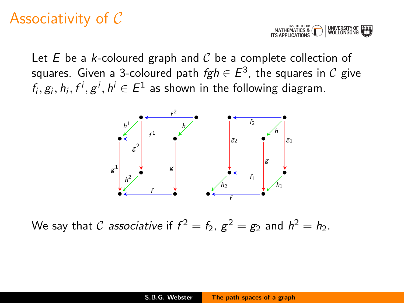### Associativity of C



Let  $E$  be a  $k$ -coloured graph and  $C$  be a complete collection of squares. Given a 3-coloured path  $\mathit{fgh} \in E^3$ , the squares in  $\mathcal C$  give  $f_i, g_i, h_i, f^i, g^i, h^i \in E^1$  as shown in the following diagram.



We say that  $\mathcal C$  *associative* if  $f^2=f_2$ ,  $g^2=g_2$  and  $h^2=h_2$ .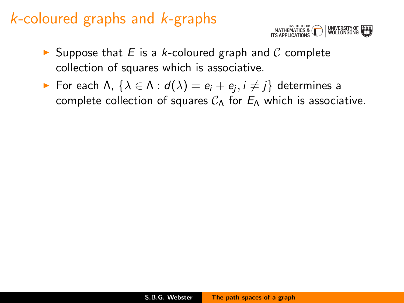

- $\triangleright$  Suppose that E is a k-coloured graph and C complete collection of squares which is associative.
- ► For each Λ,  $\{\lambda \in \Lambda : d(\lambda) = e_i + e_j, i \neq j\}$  determines a complete collection of squares  $C_A$  for  $E_A$  which is associative.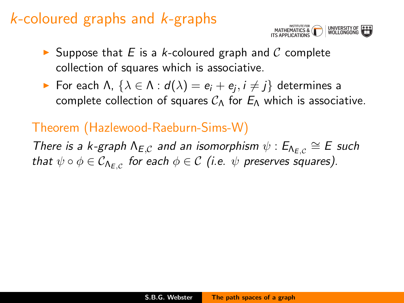

- $\triangleright$  Suppose that E is a k-coloured graph and C complete collection of squares which is associative.
- ► For each Λ,  $\{\lambda \in \Lambda : d(\lambda) = e_i + e_j, i \neq j\}$  determines a complete collection of squares  $C_A$  for  $E_A$  which is associative.

#### Theorem (Hazlewood-Raeburn-Sims-W)

There is a k-graph  $\Lambda_{E,C}$  and an isomorphism  $\psi : E_{\Lambda_{E,C}} \cong E$  such that  $\psi\circ\phi\in\mathcal{C}_{\mathsf{A}_{\mathsf{E},\mathcal{C}}}$  for each  $\phi\in\mathcal{C}$  (i.e.  $\psi$  preserves squares).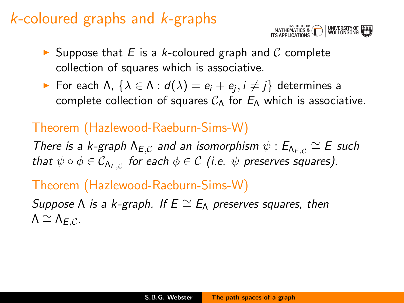

- $\triangleright$  Suppose that E is a k-coloured graph and C complete collection of squares which is associative.
- ► For each Λ,  $\{\lambda \in \Lambda : d(\lambda) = e_i + e_j, i \neq j\}$  determines a complete collection of squares  $C_A$  for  $E_A$  which is associative.

#### Theorem (Hazlewood-Raeburn-Sims-W)

There is a k-graph  $\Lambda_{E,C}$  and an isomorphism  $\psi : E_{\Lambda_{E,C}} \cong E$  such that  $\psi\circ\phi\in\mathcal{C}_{\mathsf{A}_{\mathsf{E},\mathcal{C}}}$  for each  $\phi\in\mathcal{C}$  (i.e.  $\psi$  preserves squares).

#### Theorem (Hazlewood-Raeburn-Sims-W)

Suppose  $\Lambda$  is a k-graph. If  $E \cong E_{\Lambda}$  preserves squares, then  $\Lambda \cong \Lambda_{F.C.}$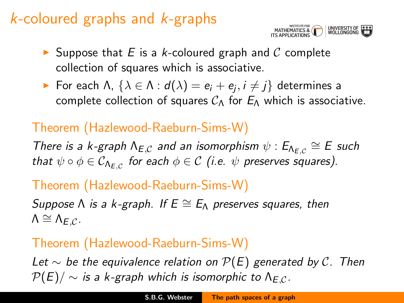

- $\triangleright$  Suppose that E is a k-coloured graph and C complete collection of squares which is associative.
- ► For each Λ,  $\{\lambda \in \Lambda : d(\lambda) = e_i + e_j, i \neq j\}$  determines a complete collection of squares  $C_A$  for  $E_A$  which is associative.

#### Theorem (Hazlewood-Raeburn-Sims-W)

There is a k-graph  $\Lambda_{E,C}$  and an isomorphism  $\psi : E_{\Lambda_{E,C}} \cong E$  such that  $\psi\circ\phi\in\mathcal{C}_{\mathsf{A}_{\mathsf{E},\mathcal{C}}}$  for each  $\phi\in\mathcal{C}$  (i.e.  $\psi$  preserves squares).

#### Theorem (Hazlewood-Raeburn-Sims-W)

Suppose  $\Lambda$  is a k-graph. If  $E \cong E_{\Lambda}$  preserves squares, then  $\Lambda \cong \Lambda_{F.C.}$ 

#### Theorem (Hazlewood-Raeburn-Sims-W)

Let  $\sim$  be the equivalence relation on  $\mathcal{P}(E)$  generated by C. Then  $P(E)/\sim$  is a k-graph which is isomorphic to  $\Lambda_{E,C}$ .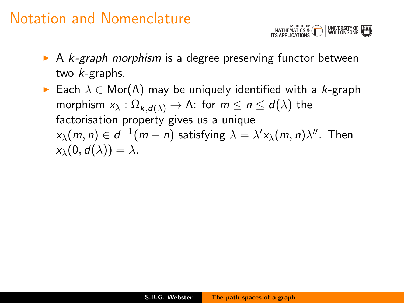

- $\triangleright$  A k-graph morphism is a degree preserving functor between two k-graphs.
- ► Each  $\lambda \in \mathsf{Mor}(\Lambda)$  may be uniquely identified with a k-graph morphism  $x_{\lambda} : \Omega_{k,d(\lambda)} \to \Lambda$ : for  $m \leq n \leq d(\lambda)$  the factorisation property gives us a unique  $x_\lambda(m,n)\in d^{-1}(m-n)$  satisfying  $\lambda=\lambda'x_\lambda(m,n)\lambda''$ . Then  $x_{\lambda}(0, d(\lambda)) = \lambda$ .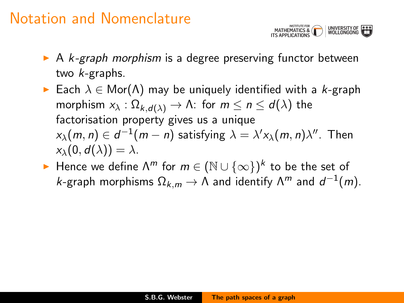

- $\triangleright$  A k-graph morphism is a degree preserving functor between two k-graphs.
- Each  $\lambda \in \mathsf{Mor}(\Lambda)$  may be uniquely identified with a k-graph morphism  $x_{\lambda} : \Omega_{k,d(\lambda)} \to \Lambda$ : for  $m \leq n \leq d(\lambda)$  the factorisation property gives us a unique  $x_\lambda(m,n)\in d^{-1}(m-n)$  satisfying  $\lambda=\lambda'x_\lambda(m,n)\lambda''$ . Then  $x_{\lambda}(0, d(\lambda)) = \lambda$ .
- ► Hence we define  $\Lambda^m$  for  $m \in (\mathbb{N} \cup \{\infty\})^k$  to be the set of k-graph morphisms  $\Omega_{k,m}\to\Lambda$  and identify  $\Lambda^m$  and  $d^{-1}(m).$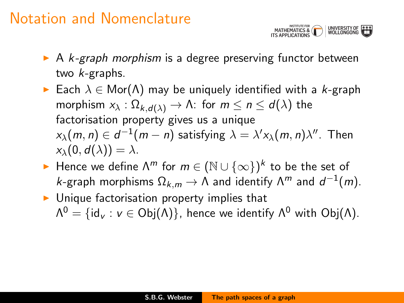

- $\triangleright$  A k-graph morphism is a degree preserving functor between two k-graphs.
- **Each**  $\lambda \in \text{Mor}(\Lambda)$  may be uniquely identified with a k-graph morphism  $x_{\lambda} : \Omega_{k,d(\lambda)} \to \Lambda$ : for  $m \leq n \leq d(\lambda)$  the factorisation property gives us a unique  $x_\lambda(m,n)\in d^{-1}(m-n)$  satisfying  $\lambda=\lambda'x_\lambda(m,n)\lambda''$ . Then  $x_{\lambda}(0, d(\lambda)) = \lambda$ .
- ► Hence we define  $\Lambda^m$  for  $m \in (\mathbb{N} \cup \{\infty\})^k$  to be the set of k-graph morphisms  $\Omega_{k,m}\to\Lambda$  and identify  $\Lambda^m$  and  $d^{-1}(m).$
- $\triangleright$  Unique factorisation property implies that  $\Lambda^0=\{ \mathsf{id}_\mathsf{v} : \mathsf{v}\in\mathsf{Obj}(\Lambda)\},$  hence we identify  $\Lambda^0$  with  $\mathsf{Obj}(\Lambda).$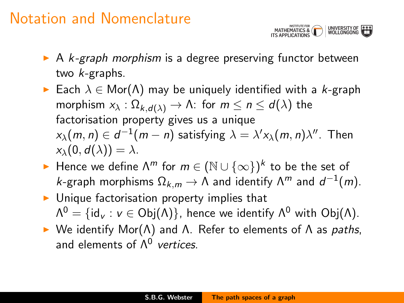

- $\triangleright$  A k-graph morphism is a degree preserving functor between two k-graphs.
- Each  $\lambda \in \text{Mor}(\Lambda)$  may be uniquely identified with a k-graph morphism  $x_{\lambda} : \Omega_{k,d(\lambda)} \to \Lambda$ : for  $m \leq n \leq d(\lambda)$  the factorisation property gives us a unique  $x_\lambda(m,n)\in d^{-1}(m-n)$  satisfying  $\lambda=\lambda'x_\lambda(m,n)\lambda''$ . Then  $x_{\lambda}(0, d(\lambda)) = \lambda$ .
- ► Hence we define  $\Lambda^m$  for  $m \in (\mathbb{N} \cup \{\infty\})^k$  to be the set of k-graph morphisms  $\Omega_{k,m}\to\Lambda$  and identify  $\Lambda^m$  and  $d^{-1}(m).$
- $\blacktriangleright$  Unique factorisation property implies that  $\Lambda^0=\{ \mathsf{id}_\mathsf{v} : \mathsf{v}\in\mathsf{Obj}(\Lambda)\},$  hence we identify  $\Lambda^0$  with  $\mathsf{Obj}(\Lambda).$
- $\triangleright$  We identify Mor( $Λ$ ) and  $Λ$ . Refer to elements of  $Λ$  as paths, and elements of  $\Lambda^0$  vertices.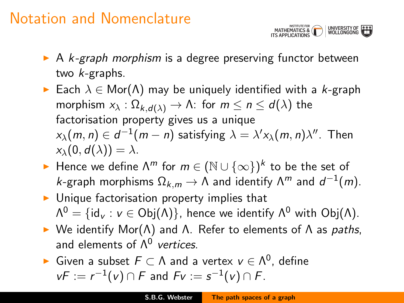

- $\triangleright$  A k-graph morphism is a degree preserving functor between two k-graphs.
- Each  $\lambda \in \text{Mor}(\Lambda)$  may be uniquely identified with a k-graph morphism  $x_{\lambda} : \Omega_{k,d(\lambda)} \to \Lambda$ : for  $m \leq n \leq d(\lambda)$  the factorisation property gives us a unique  $x_\lambda(m,n)\in d^{-1}(m-n)$  satisfying  $\lambda=\lambda'x_\lambda(m,n)\lambda''$ . Then  $x_{\lambda}(0, d(\lambda)) = \lambda$ .
- ► Hence we define  $\Lambda^m$  for  $m \in (\mathbb{N} \cup \{\infty\})^k$  to be the set of k-graph morphisms  $\Omega_{k,m}\to\Lambda$  and identify  $\Lambda^m$  and  $d^{-1}(m).$
- $\triangleright$  Unique factorisation property implies that  $\Lambda^0=\{ \mathsf{id}_\mathsf{v} : \mathsf{v}\in\mathsf{Obj}(\Lambda)\},$  hence we identify  $\Lambda^0$  with  $\mathsf{Obj}(\Lambda).$
- $\triangleright$  We identify Mor( $Λ$ ) and  $Λ$ . Refer to elements of  $Λ$  as paths, and elements of  $\Lambda^0$  vertices.
- ► Given a subset  $F \subset \Lambda$  and a vertex  $v \in \Lambda^0$ , define  $vF := r^{-1}(v) \cap F$  and  $Fv := s^{-1}(v) \cap F$ .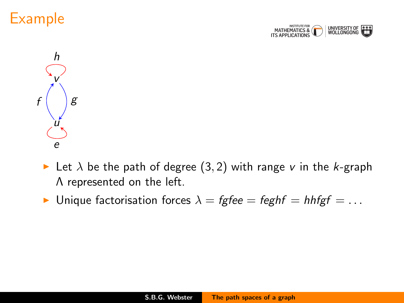





- In Let  $\lambda$  be the path of degree (3, 2) with range v in the k-graph Λ represented on the left.
- Inique factorisation forces  $\lambda = \text{fgfee} = \text{feghf} = \text{hhfgf} = \dots$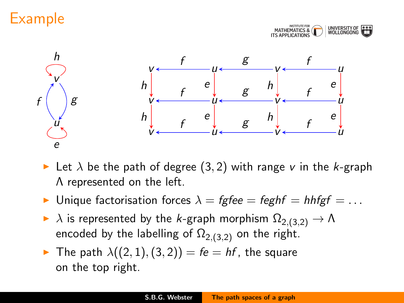## Example





- Let  $\lambda$  be the path of degree (3, 2) with range v in the k-graph Λ represented on the left.
- Inique factorisation forces  $\lambda = \text{fgfee} = \text{feghf} = \text{hheff} = \dots$
- $\blacktriangleright$   $\lambda$  is represented by the k-graph morphism  $\Omega_{2,(3,2)} \to \Lambda$ encoded by the labelling of  $\Omega_{2,(3,2)}$  on the right.
- $\blacktriangleright$  The path  $\lambda((2,1),(3,2)) = fe = hf$ , the square on the top right.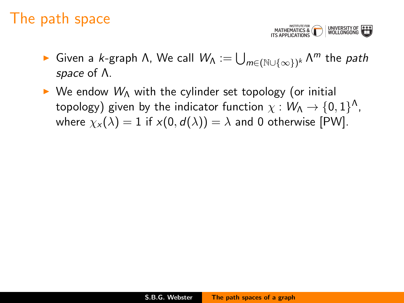### The path space

MATHEMATICS & WINDERSITY OF

- ► Given a *k*-graph Λ, We call  $W_{\mathsf{\Lambda}} := \bigcup_{m \in (\mathbb{N} \cup \{\infty\})^k} \mathsf{\Lambda}^m$  the *path* space of Λ.
- $\triangleright$  We endow  $W_{\Lambda}$  with the cylinder set topology (or initial topology) given by the indicator function  $\chi:\mathsf{W}_{\mathsf{\Lambda}}\rightarrow\{0,1\}^{\mathsf{\Lambda}},$ where  $\chi_x(\lambda) = 1$  if  $x(0, d(\lambda)) = \lambda$  and 0 otherwise [PW].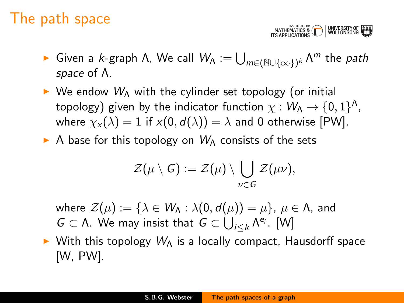### The path space

MATHEMATICS & WESTITLE MATHEMATICS & WOLLONGONG

- ► Given a *k*-graph Λ, We call  $W_{\mathsf{\Lambda}} := \bigcup_{m \in (\mathbb{N} \cup \{\infty\})^k} \mathsf{\Lambda}^m$  the *path* space of Λ.
- $\triangleright$  We endow  $W_{\Lambda}$  with the cylinder set topology (or initial topology) given by the indicator function  $\chi:\mathsf{W}_{\mathsf{\Lambda}}\rightarrow\{0,1\}^{\mathsf{\Lambda}},$ where  $\chi_{x}(\lambda) = 1$  if  $x(0, d(\lambda)) = \lambda$  and 0 otherwise [PW].
- A base for this topology on  $W_0$  consists of the sets

$$
\mathcal{Z}(\mu \setminus G) := \mathcal{Z}(\mu) \setminus \bigcup_{\nu \in G} \mathcal{Z}(\mu \nu),
$$

- where  $\mathcal{Z}(\mu) := \{\lambda \in W_\Lambda : \lambda(0, d(\mu)) = \mu\}, \mu \in \Lambda$ , and  $G$  ⊂ Λ. We may insist that  $G$  ⊂  $\bigcup_{i \leq k} \Lambda^{e_i}$ . [W]
- $\triangleright$  With this topology  $W_A$  is a locally compact, Hausdorff space [W, PW].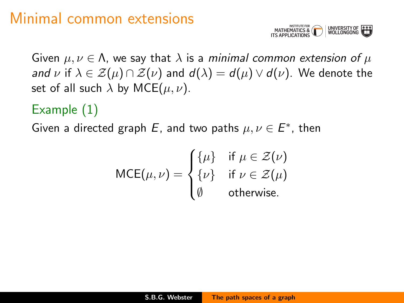### Minimal common extensions



Given  $\mu, \nu \in \Lambda$ , we say that  $\lambda$  is a minimal common extension of  $\mu$ and v if  $\lambda \in \mathcal{Z}(\mu) \cap \mathcal{Z}(\nu)$  and  $d(\lambda) = d(\mu) \vee d(\nu)$ . We denote the set of all such  $\lambda$  by MCE( $\mu, \nu$ ).

#### Example (1)

Given a directed graph E, and two paths  $\mu, \nu \in E^*$ , then

$$
\text{MCE}(\mu, \nu) = \begin{cases} {\{\mu\} & \text{if } \mu \in \mathcal{Z}(\nu) \\ {\{\nu\} & \text{if } \nu \in \mathcal{Z}(\mu) \\ \emptyset & \text{otherwise.} \end{cases}
$$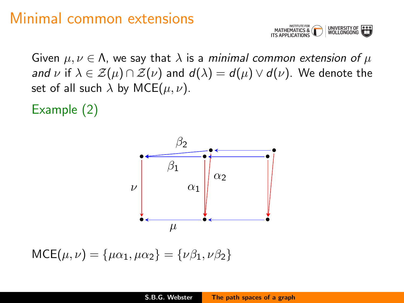#### Minimal common extensions



Given  $\mu, \nu \in \Lambda$ , we say that  $\lambda$  is a minimal common extension of  $\mu$ and v if  $\lambda \in \mathcal{Z}(\mu) \cap \mathcal{Z}(\nu)$  and  $d(\lambda) = d(\mu) \vee d(\nu)$ . We denote the set of all such  $\lambda$  by MCE( $\mu$ ,  $\nu$ ).

Example (2)



 $MCE(\mu, \nu) = {\mu\alpha_1, \mu\alpha_2} = {\nu\beta_1, \nu\beta_2}$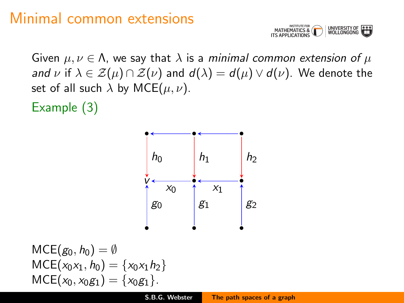### Minimal common extensions



Given  $\mu, \nu \in \Lambda$ , we say that  $\lambda$  is a minimal common extension of  $\mu$ and v if  $\lambda \in \mathcal{Z}(\mu) \cap \mathcal{Z}(\nu)$  and  $d(\lambda) = d(\mu) \vee d(\nu)$ . We denote the set of all such  $\lambda$  by MCE( $\mu$ ,  $\nu$ ).

Example (3)



$$
MCE(g_0, h_0) = \emptyset
$$
  
 
$$
MCE(x_0x_1, h_0) = \{x_0x_1h_2\}
$$
  
 
$$
MCE(x_0, x_0g_1) = \{x_0g_1\}.
$$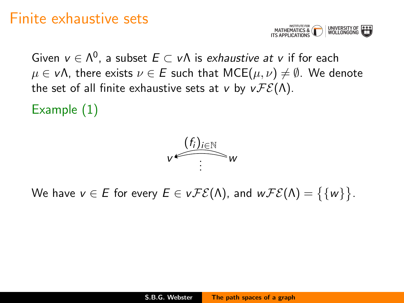#### Finite exhaustive sets



Given  $v \in \Lambda^0$ , a subset  $E \subset v\Lambda$  is *exhaustive at v* if for each  $\mu \in v\Lambda$ , there exists  $\nu \in E$  such that  $MCE(\mu, \nu) \neq \emptyset$ . We denote the set of all finite exhaustive sets at v by  $v \mathcal{FE}(\Lambda)$ .

Example (1)



We have  $v \in E$  for every  $E \in v\mathcal{FE}(\Lambda)$ , and  $w\mathcal{FE}(\Lambda)=\big\{\{w\}\big\}.$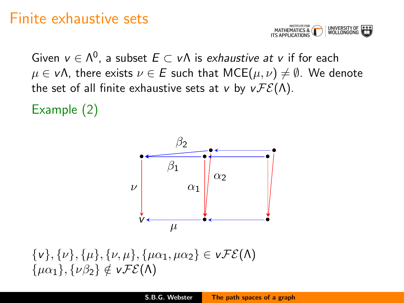#### Finite exhaustive sets



Given  $v \in \Lambda^0$ , a subset  $E \subset v\Lambda$  is *exhaustive at v* if for each  $\mu \in v\Lambda$ , there exists  $\nu \in E$  such that  $MCE(\mu, \nu) \neq \emptyset$ . We denote the set of all finite exhaustive sets at v by  $v \mathcal{FE}(\Lambda)$ .

Example (2)



 $\{v\}, \{\nu\}, \{\mu\}, \{\nu, \mu\}, \{\mu\alpha_1, \mu\alpha_2\} \in vFE(\Lambda)$  $\{\mu\alpha_1\}, \{\nu\beta_2\} \notin v\mathcal{FE}(\Lambda)$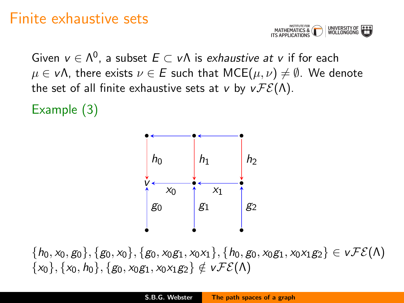#### Finite exhaustive sets



Given  $v \in \Lambda^0$ , a subset  $E \subset v\Lambda$  is *exhaustive at v* if for each  $\mu \in v\Lambda$ , there exists  $\nu \in E$  such that  $MCE(\mu, \nu) \neq \emptyset$ . We denote the set of all finite exhaustive sets at v by  $v \mathcal{FE}(\Lambda)$ .

Example (3)



 ${\{h_0, x_0, g_0\}, \{g_0, x_0\}, \{g_0, x_0g_1, x_0x_1\}, \{h_0, g_0, x_0g_1, x_0x_1g_2\}} \in \nu \mathcal{FE}(\Lambda)$  $\{x_0\}, \{x_0, h_0\}, \{g_0, x_0g_1, x_0x_1g_2\} \notin v\mathcal{FE}(\Lambda)$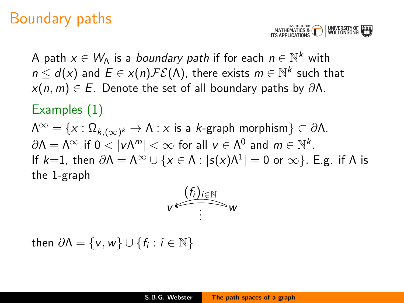

A path  $x\in W_\Lambda$  is a *boundary path* if for each  $n\in\mathbb{N}^k$  with  $n \leq d(x)$  and  $E \in x(n)\mathcal{FE}(\Lambda)$ , there exists  $m \in \mathbb{N}^k$  such that  $x(n, m) \in E$ . Denote the set of all boundary paths by  $\partial \Lambda$ .

#### Examples (1)

 $\Lambda^\infty = \{ \mathsf{x} : \Omega_{k,(\infty)^k} \to \Lambda : \mathsf{x} \text{ is a } k\text{-graph morphism} \} \subset \partial \Lambda.$  $\partial \Lambda = \Lambda^\infty$  if  $0 < |\nu \Lambda^m| < \infty$  for all  $\nu \in \Lambda^0$  and  $m \in \mathbb{N}^k$ . If  $k=1$ , then  $\partial \Lambda = \Lambda^\infty \cup \{x \in \Lambda : |s(x) \Lambda^1| = 0 \text{ or } \infty\}$ . E.g. if  $\Lambda$  is the 1-graph



then  $\partial \Lambda = \{v, w\} \cup \{f_i : i \in \mathbb{N}\}\$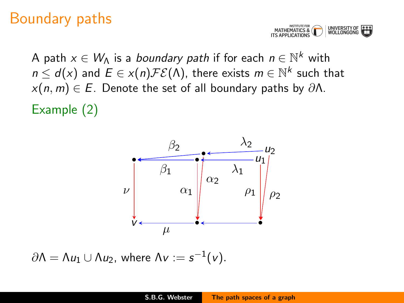**TITUTE FOR**<br>ATICS & **U** UNIVERSITY OF

A path  $x\in W_\Lambda$  is a *boundary path* if for each  $n\in\mathbb{N}^k$  with  $n \leq d(x)$  and  $E \in x(n)\mathcal{FE}(\Lambda)$ , there exists  $m \in \mathbb{N}^k$  such that  $x(n, m) \in E$ . Denote the set of all boundary paths by  $\partial \Lambda$ . Example (2)



 $\partial\Lambda = \Lambda u_1 \cup \Lambda u_2$ , where  $\Lambda v := s^{-1}(v)$ .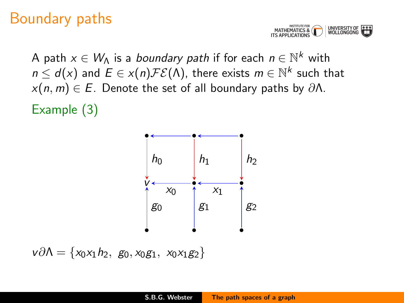MATHEMATICS & UNIVERSITY OF<br>WOLLONGONG

A path  $x\in W_\Lambda$  is a *boundary path* if for each  $n\in\mathbb{N}^k$  with  $n \leq d(x)$  and  $E \in x(n)\mathcal{FE}(\Lambda)$ , there exists  $m \in \mathbb{N}^k$  such that  $x(n, m) \in E$ . Denote the set of all boundary paths by  $\partial \Lambda$ . Example (3)



 $v\partial\Lambda = \{x_0x_1h_2, g_0, x_0g_1, x_0x_1g_2\}$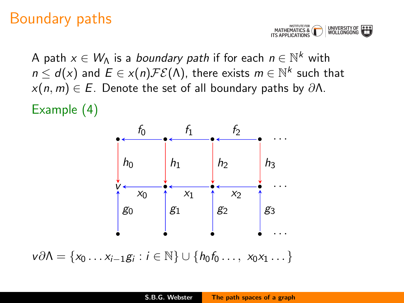

A path  $x\in W_\Lambda$  is a *boundary path* if for each  $n\in\mathbb{N}^k$  with  $n \leq d(x)$  and  $E \in x(n)\mathcal{FE}(\Lambda)$ , there exists  $m \in \mathbb{N}^k$  such that  $x(n, m) \in E$ . Denote the set of all boundary paths by  $\partial \Lambda$ .

Example (4)



 $v\partial\Lambda = \{x_0 \dots x_{i-1}g_i : i \in \mathbb{N}\} \cup \{h_0f_0 \dots, x_0x_1 \dots\}$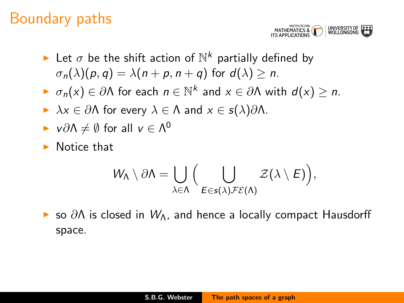

- Let  $\sigma$  be the shift action of  $\mathbb{N}^k$  partially defined by  $\sigma_n(\lambda)(p,q) = \lambda(n+p, n+q)$  for  $d(\lambda) > n$ .
- $\blacktriangleright \sigma_n(x) \in \partial \Lambda$  for each  $n \in \mathbb{N}^k$  and  $x \in \partial \Lambda$  with  $d(x) \geq n$ .
- $\triangleright$   $\lambda x \in \partial \Lambda$  for every  $\lambda \in \Lambda$  and  $x \in s(\lambda)\partial \Lambda$ .
- $\blacktriangleright$  v∂Λ  $\neq$   $\emptyset$  for all  $v \in \Lambda^0$
- $\blacktriangleright$  Notice that

$$
W_{\Lambda}\setminus \partial \Lambda = \bigcup_{\lambda \in \Lambda} \Big(\bigcup_{E \in s(\lambda)\mathcal{FE}(\Lambda)} \mathcal{Z}(\lambda \setminus E)\Big),
$$

 $\triangleright$  so  $\partial\Lambda$  is closed in  $W_{\Lambda}$ , and hence a locally compact Hausdorff space.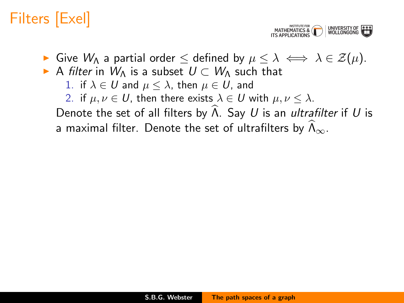MATHEMATICS & UNIVERSITY O<br>WOLLONGONI

- $\triangleright$  Give  $W_\Lambda$  a partial order  $\leq$  defined by  $\mu \leq \lambda \iff \lambda \in \mathcal{Z}(\mu)$ .
- A filter in  $W_{\Lambda}$  is a subset  $U \subset W_{\Lambda}$  such that
	- 1. if  $\lambda \in U$  and  $\mu \leq \lambda$ , then  $\mu \in U$ , and
	- 2. if  $\mu, \nu \in U$ , then there exists  $\lambda \in U$  with  $\mu, \nu \leq \lambda$ .

Denote the set of all filters by  $\widehat{\Lambda}$ . Say U is an ultrafilter if U is

a maximal filter. Denote the set of ultrafilters by  $\Lambda_{\infty}$ .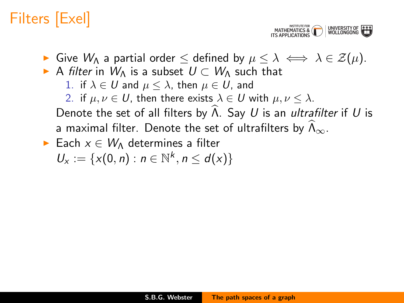MATHEMATICS & UNIVERSITY (<br>WOLLONGON

- $\triangleright$  Give W<sub>Λ</sub> a partial order  $\leq$  defined by  $\mu \leq \lambda \iff \lambda \in \mathcal{Z}(\mu)$ .
- A filter in  $W_{\Lambda}$  is a subset  $U \subset W_{\Lambda}$  such that
	- 1. if  $\lambda \in U$  and  $\mu \leq \lambda$ , then  $\mu \in U$ , and
	- 2. if  $\mu, \nu \in U$ , then there exists  $\lambda \in U$  with  $\mu, \nu \leq \lambda$ .

Denote the set of all filters by  $\widehat{\Lambda}$ . Say U is an ultrafilter if U is a maximal filter. Denote the set of ultrafilters by  $\Lambda_{\infty}$ .

Each  $x \in W_{\Lambda}$  determines a filter  $U_x := \{x(0, n) : n \in \mathbb{N}^k, n \le d(x)\}\$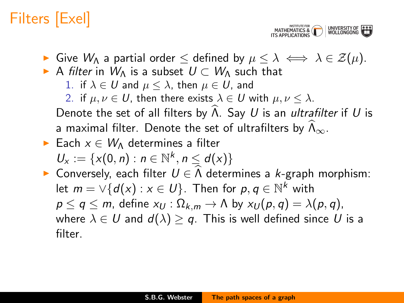MATHEMATICS & WOLLONGON

- $\triangleright$  Give W<sub>Λ</sub> a partial order  $\leq$  defined by  $\mu \leq \lambda \iff \lambda \in \mathcal{Z}(\mu)$ .
- A filter in  $W_{\Lambda}$  is a subset  $U \subset W_{\Lambda}$  such that
	- 1. if  $\lambda \in U$  and  $\mu \leq \lambda$ , then  $\mu \in U$ , and
	- 2. if  $\mu, \nu \in U$ , then there exists  $\lambda \in U$  with  $\mu, \nu \leq \lambda$ .

Denote the set of all filters by  $\widehat{\Lambda}$ . Say U is an ultrafilter if U is a maximal filter. Denote the set of ultrafilters by  $\Lambda_{\infty}$ .

- $\triangleright$  Each  $x \in W$  determines a filter  $U_x := \{x(0, n) : n \in \mathbb{N}^k, n \le d(x)\}\$
- **► Conversely, each filter**  $U \in \Lambda$  **determines a k-graph morphism:** let  $m = \vee \{d(x) : x \in U\}$ . Then for  $p, q \in \mathbb{N}^k$  with  $p \le q \le m$ , define  $x_U : \Omega_{k,m} \to \Lambda$  by  $x_U(p,q) = \lambda(p,q)$ , where  $\lambda \in U$  and  $d(\lambda) \geq q$ . This is well defined since U is a filter.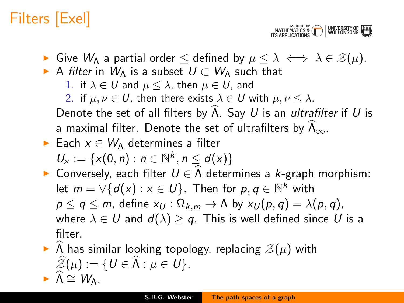MATHEMATICS & WINDERSITY OF

- $\triangleright$  Give W<sub>Λ</sub> a partial order  $\leq$  defined by  $\mu \leq \lambda \iff \lambda \in \mathcal{Z}(\mu)$ .
- A filter in  $W_{\Lambda}$  is a subset  $U \subset W_{\Lambda}$  such that
	- 1. if  $\lambda \in U$  and  $\mu \leq \lambda$ , then  $\mu \in U$ , and
	- 2. if  $\mu, \nu \in U$ , then there exists  $\lambda \in U$  with  $\mu, \nu \leq \lambda$ .

Denote the set of all filters by  $\widehat{\Lambda}$ . Say U is an ultrafilter if U is a maximal filter. Denote the set of ultrafilters by  $\Lambda_{\infty}$ .

- $\triangleright$  Each  $x \in W$  determines a filter  $U_x := \{x(0, n) : n \in \mathbb{N}^k, n \le d(x)\}\$
- **► Conversely, each filter**  $U \in \Lambda$  **determines a k-graph morphism:** let  $m = \vee \{d(x) : x \in U\}$ . Then for  $p, q \in \mathbb{N}^k$  with  $p \le q \le m$ , define  $x_U : \Omega_{k,m} \to \Lambda$  by  $x_U(p,q) = \lambda(p,q)$ , where  $\lambda \in U$  and  $d(\lambda) \geq q$ . This is well defined since U is a filter.
- $\triangleright$  A has similar looking topology, replacing  $\mathcal{Z}(\mu)$  with  $\widehat{\mathcal{Z}}(\mu) := \{U \in \widehat{\Lambda} : \mu \in U\}.$  $\triangleright \Lambda \cong W_{\Lambda}$ .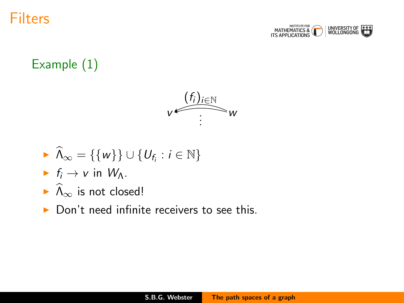



#### Example (1)



$$
\blacktriangleright \widehat{\Lambda}_{\infty} = \{\{w\}\} \cup \{U_{f_i} : i \in \mathbb{N}\}\
$$

- If  $f_i \rightarrow v$  in  $W_\Lambda$ .
- $\widehat{\Lambda}_{\infty}$  is not closed!
- $\triangleright$  Don't need infinite receivers to see this.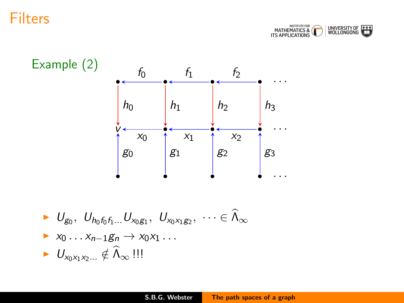



$$
\begin{aligned}\n&\bullet \quad U_{g_0}, \ \ U_{h_0f_0f_1\dots}U_{x_0g_1}, \ \ U_{x_0x_1g_2}, \ \ \cdots \in \widehat{\Lambda}_{\infty} \\
&\bullet \ x_0 \dots x_{n-1}g_n \to x_0x_1 \dots \\
&\bullet \quad U_{x_0x_1x_2\dots} \notin \widehat{\Lambda}_{\infty} \ \ \text{]}\n \end{aligned}
$$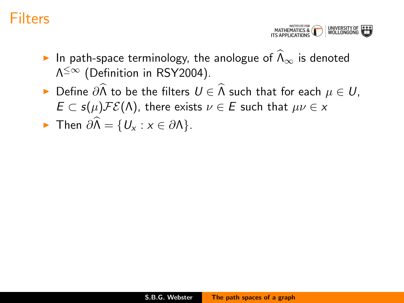MATHEMATICS & WOLLONGONG

- In path-space terminology, the anologue of  $\widehat{\Lambda}_{\infty}$  is denoted  $\Lambda^{\leq\infty}$  (Definition in RSY2004).
- ► Define  $\partial \widehat{\Lambda}$  to be the filters  $U \in \widehat{\Lambda}$  such that for each  $\mu \in U$ ,  $E \subset s(\mu)\mathcal{FE}(\Lambda)$ , there exists  $\nu \in E$  such that  $\mu\nu \in x$

$$
\blacktriangleright \text{ Then } \partial \widehat{\Lambda} = \{U_x : x \in \partial \Lambda\}.
$$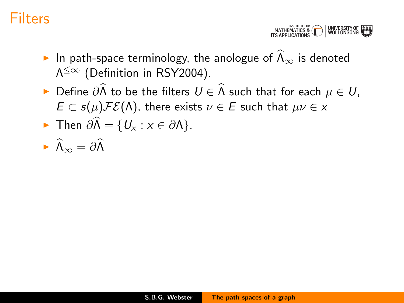MATHEMATICS & WOLLONGONG

- In path-space terminology, the anologue of  $\widehat{\Lambda}_{\infty}$  is denoted  $\Lambda^{\leq\infty}$  (Definition in RSY2004).
- ► Define  $\partial \widehat{\Lambda}$  to be the filters  $U \in \widehat{\Lambda}$  such that for each  $\mu \in U$ ,  $E \subset s(\mu)\mathcal{FE}(\Lambda)$ , there exists  $\nu \in E$  such that  $\mu\nu \in x$

$$
\sum_{n=1}^{\infty} \text{ Then } \partial \widehat{\Lambda} = \{U_x : x \in \partial \Lambda\}.
$$

$$
\blacktriangleright \widehat{\Lambda}_{\infty} = \partial \widehat{\Lambda}
$$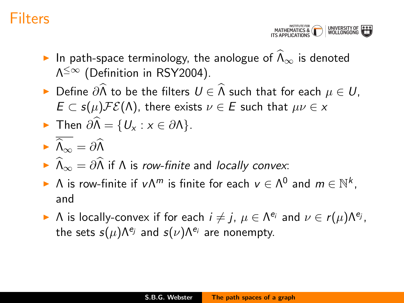MATHEMATICS & WINDERSITY

- In path-space terminology, the anologue of  $\widehat{\Lambda}_{\infty}$  is denoted  $\Lambda^{\leq\infty}$  (Definition in RSY2004).
- ► Define  $\partial \widehat{\Lambda}$  to be the filters  $U \in \widehat{\Lambda}$  such that for each  $\mu \in U$ ,  $E \subset s(\mu)\mathcal{FE}(\Lambda)$ , there exists  $\nu \in E$  such that  $\mu\nu \in x$

$$
\sum_{n=1}^{\infty} \text{ Then } \partial \widehat{\Lambda} = \{U_x : x \in \partial \Lambda\}.
$$

$$
\blacktriangleright \widehat{\Lambda}_\infty = \partial \widehat{\Lambda}
$$

- $\widehat{I}_{\infty} = \partial \widehat{I}$  if  $\Lambda$  is row-finite and locally convex:
- $\blacktriangleright$  A is row-finite if  $v \Lambda^m$  is finite for each  $v \in \Lambda^0$  and  $m \in \mathbb{N}^k$ , and
- A is locally-convex if for each  $i \neq j$ ,  $\mu \in \Lambda^{e_i}$  and  $\nu \in r(\mu)\Lambda^{e_j}$ , the sets  $s(\mu)\Lambda^{e_j}$  and  $s(\nu)\Lambda^{e_i}$  are nonempty.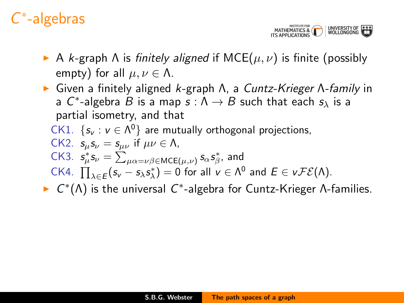## C ∗ -algebras

MATHEMATICS & WINDERSITY OF

- A k-graph A is finitely aligned if  $MCE(\mu, \nu)$  is finite (possibly empty) for all  $\mu, \nu \in \Lambda$ .
- ight Given a finitely aligned k-graph Λ, a Cuntz-Krieger Λ-family in a  $C^*$ -algebra  $B$  is a map  $s : \Lambda \to B$  such that each  $s_\lambda$  is a partial isometry, and that
	- CK1. { $s_v : v \in \Lambda^0$ } are mutually orthogonal projections, CK2.  $s_{\mu} s_{\nu} = s_{\mu\nu}$  if  $\mu\nu \in \Lambda$ , CK3.  $s_{\mu}^{*} s_{\nu} = \sum_{\mu \alpha = \nu \beta \in \text{MCE}(\mu, \nu)} s_{\alpha} s_{\beta}^{*}$ , and CK4.  $\prod_{\lambda \in E} (s_{v} - s_{\lambda} s_{\lambda}^{*}) = 0$  for all  $v \in \Lambda^{0}$  and  $E \in vFE(\Lambda)$ .
- $\triangleright$   $C^*(\Lambda)$  is the universal  $C^*$ -algebra for Cuntz-Krieger  $\Lambda$ -families.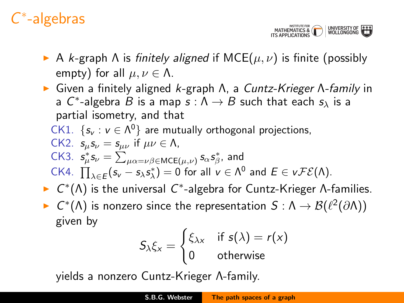## C ∗ -algebras

MATHEMATICS & WINDERSITY OF

- A k-graph A is finitely aligned if  $MCE(\mu, \nu)$  is finite (possibly empty) for all  $\mu, \nu \in \Lambda$ .
- ight Given a finitely aligned k-graph Λ, a Cuntz-Krieger Λ-family in a  $C^*$ -algebra  $B$  is a map  $s : \Lambda \to B$  such that each  $s_\lambda$  is a partial isometry, and that
	- CK1. { $s_v : v \in \Lambda^0$ } are mutually orthogonal projections, CK2.  $s_{\mu} s_{\nu} = s_{\mu\nu}$  if  $\mu\nu \in \Lambda$ , CK3.  $s_{\mu}^{*} s_{\nu} = \sum_{\mu \alpha = \nu \beta \in \text{MCE}(\mu, \nu)} s_{\alpha} s_{\beta}^{*}$ , and CK4.  $\prod_{\lambda \in E} (s_{v} - s_{\lambda} s_{\lambda}^{*}) = 0$  for all  $v \in \Lambda^{0}$  and  $E \in vFE(\Lambda)$ .
- $\triangleright$   $C^*(\Lambda)$  is the universal  $C^*$ -algebra for Cuntz-Krieger  $\Lambda$ -families.
- ►  $C^*(\Lambda)$  is nonzero since the representation  $S: \Lambda \to \mathcal{B}(\ell^2(\partial \Lambda))$ given by

$$
S_{\lambda}\xi_{x} = \begin{cases} \xi_{\lambda x} & \text{if } s(\lambda) = r(x) \\ 0 & \text{otherwise} \end{cases}
$$

yields a nonzero Cuntz-Krieger Λ-family.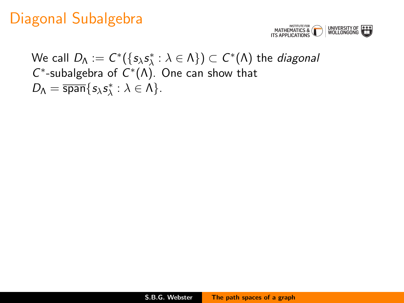

We call  $D_\Lambda:=C^*(\{s_\lambda s^*_\lambda:\lambda \in \Lambda\})\subset C^*(\Lambda)$  the *diagonal*  $C^*$ -subalgebra of  $C^*(\Lambda)$ . One can show that  $D_{\Lambda} = \overline{\text{span}}\{s_{\lambda}s_{\lambda}^*: \lambda \in \Lambda\}.$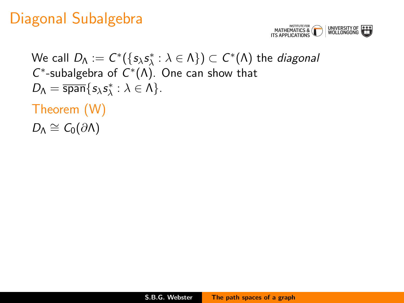

We call  $D_\Lambda:=C^*(\{s_\lambda s^*_\lambda:\lambda \in \Lambda\})\subset C^*(\Lambda)$  the *diagonal*  $C^*$ -subalgebra of  $C^*(\Lambda)$ . One can show that  $D_{\Lambda} = \overline{\text{span}}\{s_{\lambda}s_{\lambda}^*: \lambda \in \Lambda\}.$ Theorem (W)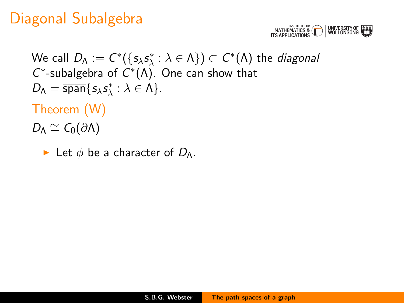

We call  $D_\Lambda:=C^*(\{s_\lambda s^*_\lambda:\lambda \in \Lambda\})\subset C^*(\Lambda)$  the *diagonal*  $C^*$ -subalgebra of  $C^*(\Lambda)$ . One can show that  $D_{\Lambda} = \overline{\text{span}}\{s_{\lambda}s_{\lambda}^*: \lambda \in \Lambda\}.$ 

Theorem (W)

 $D_{\Lambda} \cong C_0(\partial \Lambda)$ 

Exected be a character of  $D_{\Lambda}$ .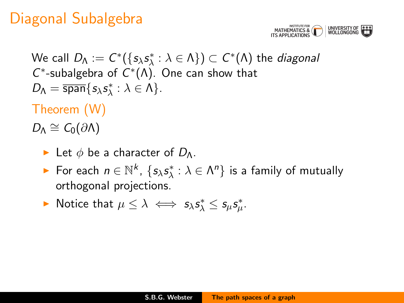

We call  $D_\Lambda:=C^*(\{s_\lambda s^*_\lambda:\lambda \in \Lambda\})\subset C^*(\Lambda)$  the *diagonal*  $C^*$ -subalgebra of  $C^*(\Lambda)$ . One can show that  $D_{\Lambda} = \overline{\text{span}}\{s_{\lambda}s_{\lambda}^*: \lambda \in \Lambda\}.$ 

Theorem (W)

- Exected be a character of  $D_{\Lambda}$ .
- ► For each  $n \in \mathbb{N}^k$ ,  $\{s_\lambda s^*_\lambda : \lambda \in \Lambda^n\}$  is a family of mutually orthogonal projections.
- ► Notice that  $\mu \leq \lambda \iff s_{\lambda} s_{\lambda}^* \leq s_{\mu} s_{\mu}^*$ .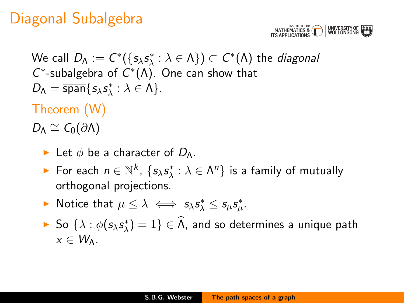

We call  $D_\Lambda:=C^*(\{s_\lambda s^*_\lambda:\lambda \in \Lambda\})\subset C^*(\Lambda)$  the *diagonal*  $C^*$ -subalgebra of  $C^*(\Lambda)$ . One can show that  $D_{\Lambda} = \overline{\text{span}}\{s_{\lambda}s_{\lambda}^*: \lambda \in \Lambda\}.$ 

Theorem (W)

- Exected be a character of  $D_{\Lambda}$ .
- ► For each  $n \in \mathbb{N}^k$ ,  $\{s_\lambda s^*_\lambda : \lambda \in \Lambda^n\}$  is a family of mutually orthogonal projections.
- ► Notice that  $\mu \leq \lambda \iff s_{\lambda} s_{\lambda}^* \leq s_{\mu} s_{\mu}^*$ .
- ► So  $\{\lambda : \phi(s_\lambda s^*_\lambda) = 1\} \in \widehat{\Lambda}$ , and so determines a unique path  $x \in W_{\Lambda}$ .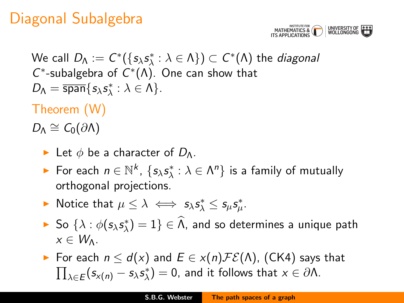

We call  $D_\Lambda:=C^*(\{s_\lambda s^*_\lambda:\lambda \in \Lambda\})\subset C^*(\Lambda)$  the *diagonal*  $C^*$ -subalgebra of  $C^*(\Lambda)$ . One can show that  $D_{\Lambda} = \overline{\text{span}}\{s_{\lambda}s_{\lambda}^*: \lambda \in \Lambda\}.$ 

Theorem (W)

- Exected be a character of  $D_{\Lambda}$ .
- ► For each  $n \in \mathbb{N}^k$ ,  $\{s_\lambda s^*_\lambda : \lambda \in \Lambda^n\}$  is a family of mutually orthogonal projections.
- ► Notice that  $\mu \leq \lambda \iff s_{\lambda} s_{\lambda}^* \leq s_{\mu} s_{\mu}^*$ .
- ► So  $\{\lambda : \phi(s_\lambda s^*_\lambda) = 1\} \in \widehat{\Lambda}$ , and so determines a unique path  $x \in W_{\Lambda}$ .
- $\triangleright$  For each  $n \leq d(x)$  and  $E \in x(n) \mathcal{FE}(\Lambda)$ , (CK4) says that  $\prod_{\lambda\in E}(s_{x(n)}-s_\lambda s^*_\lambda)=0$ , and it follows that  $x\in \partial \Lambda$ .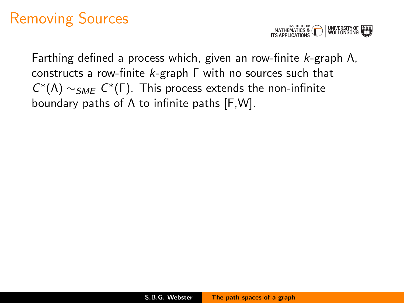

Farthing defined a process which, given an row-finite k-graph Λ, constructs a row-finite k-graph Γ with no sources such that  $C^*(\Lambda) \sim_{SME} C^*(\Gamma)$ . This process extends the non-infinite boundary paths of Λ to infinite paths [F,W].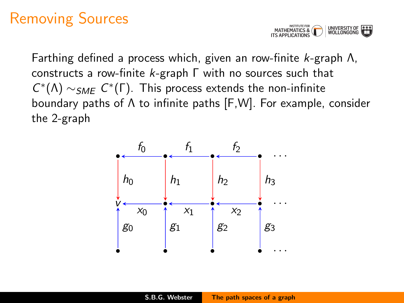

Farthing defined a process which, given an row-finite k-graph Λ, constructs a row-finite k-graph Γ with no sources such that  $C^*(\Lambda) \sim_{SME} C^*(\Gamma)$ . This process extends the non-infinite boundary paths of Λ to infinite paths [F,W]. For example, consider the 2-graph

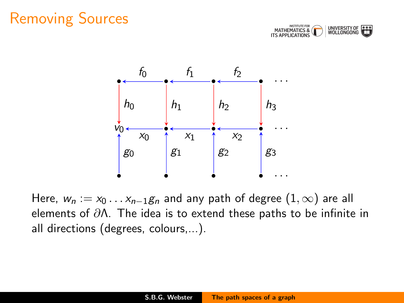



Here,  $w_n := x_0 \dots x_{n-1} g_n$  and any path of degree  $(1, \infty)$  are all elements of  $\partial \Lambda$ . The idea is to extend these paths to be infinite in all directions (degrees, colours,...).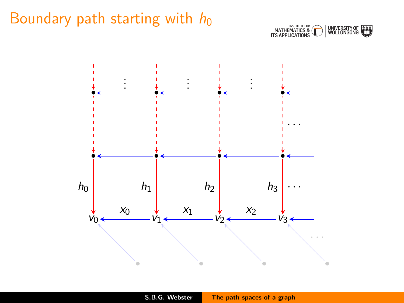### Boundary path starting with  $h_0$



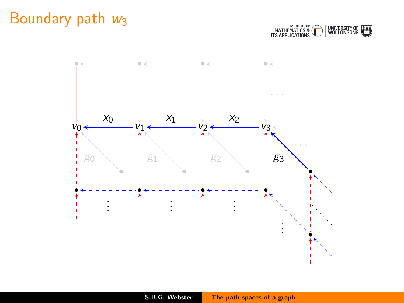### Boundary path  $w_3$



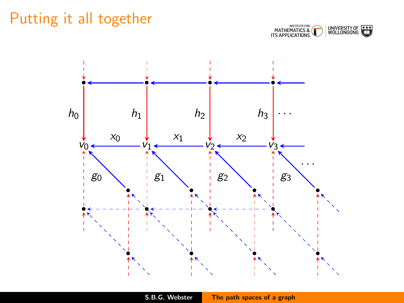### Putting it all together



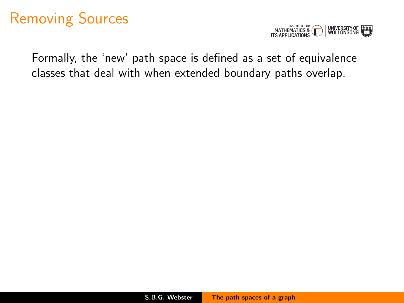

Formally, the 'new' path space is defined as a set of equivalence classes that deal with when extended boundary paths overlap.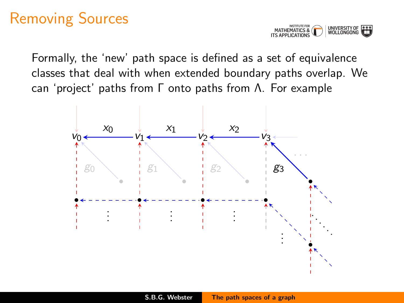

Formally, the 'new' path space is defined as a set of equivalence classes that deal with when extended boundary paths overlap. We can 'project' paths from Γ onto paths from Λ. For example

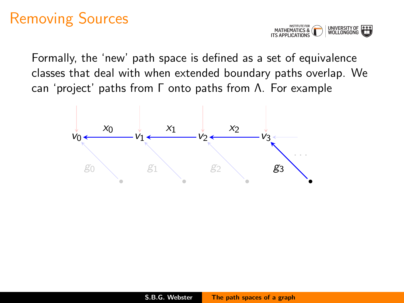

Formally, the 'new' path space is defined as a set of equivalence classes that deal with when extended boundary paths overlap. We can 'project' paths from Γ onto paths from Λ. For example

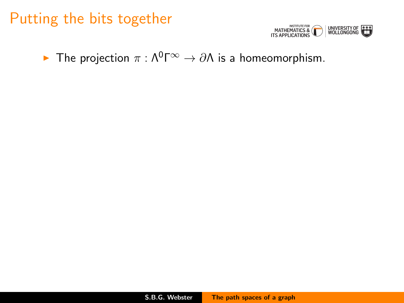#### Putting the bits together



 $\triangleright$  The projection  $\pi$  : Λ<sup>0</sup>Γ<sup>∞</sup>  $\rightarrow$  ∂Λ is a homeomorphism.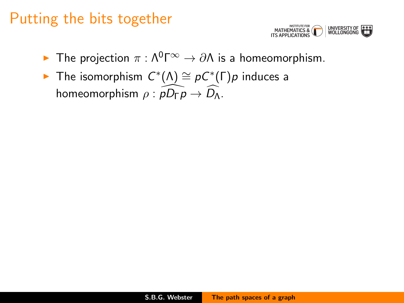### Putting the bits together



- $\blacktriangleright$  The projection  $\pi$  : Λ<sup>0</sup>Γ<sup>∞</sup>  $\rightarrow$  ∂Λ is a homeomorphism.
- ► The isomorphism  $C^*(\Lambda) \cong pC^*(\Gamma)$ p induces a homeomorphism  $\rho : \overline{pD_{\Gamma}p} \to \overline{D_{\Lambda}}$ .